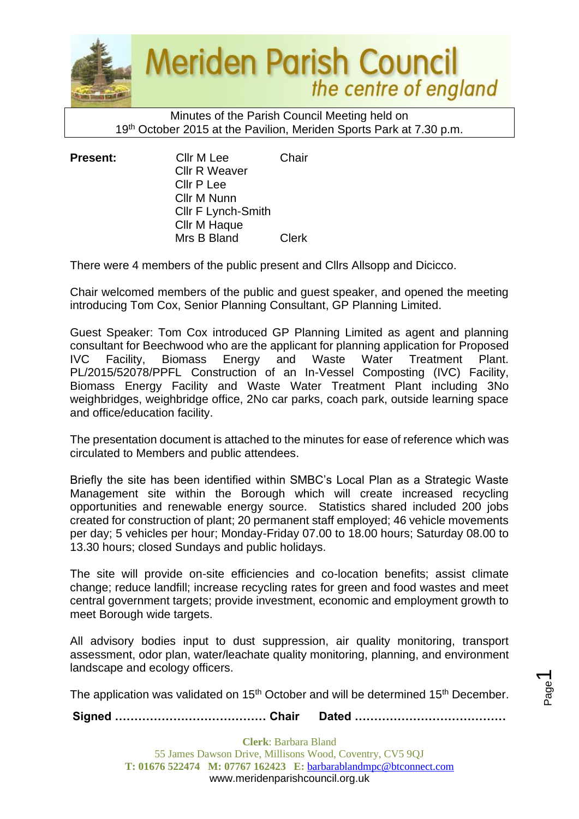

Minutes of the Parish Council Meeting held on 19<sup>th</sup> October 2015 at the Pavilion, Meriden Sports Park at 7.30 p.m.

**Present:** Cllr M Lee Chair Cllr R Weaver Cllr P Lee Cllr M Nunn Cllr F Lynch-Smith Cllr M Haque Mrs B Bland Clerk

There were 4 members of the public present and Cllrs Allsopp and Dicicco.

Chair welcomed members of the public and guest speaker, and opened the meeting introducing Tom Cox, Senior Planning Consultant, GP Planning Limited.

Guest Speaker: Tom Cox introduced GP Planning Limited as agent and planning consultant for Beechwood who are the applicant for planning application for Proposed IVC Facility, Biomass Energy and Waste Water Treatment Plant. PL/2015/52078/PPFL Construction of an In-Vessel Composting (IVC) Facility, Biomass Energy Facility and Waste Water Treatment Plant including 3No weighbridges, weighbridge office, 2No car parks, coach park, outside learning space and office/education facility.

The presentation document is attached to the minutes for ease of reference which was circulated to Members and public attendees.

Briefly the site has been identified within SMBC's Local Plan as a Strategic Waste Management site within the Borough which will create increased recycling opportunities and renewable energy source. Statistics shared included 200 jobs created for construction of plant; 20 permanent staff employed; 46 vehicle movements per day; 5 vehicles per hour; Monday-Friday 07.00 to 18.00 hours; Saturday 08.00 to 13.30 hours; closed Sundays and public holidays.

The site will provide on-site efficiencies and co-location benefits; assist climate change; reduce landfill; increase recycling rates for green and food wastes and meet central government targets; provide investment, economic and employment growth to meet Borough wide targets.

All advisory bodies input to dust suppression, air quality monitoring, transport assessment, odor plan, water/leachate quality monitoring, planning, and environment landscape and ecology officers.

The application was validated on 15<sup>th</sup> October and will be determined 15<sup>th</sup> December.

**Signed ………………………………… Chair Dated …………………………………**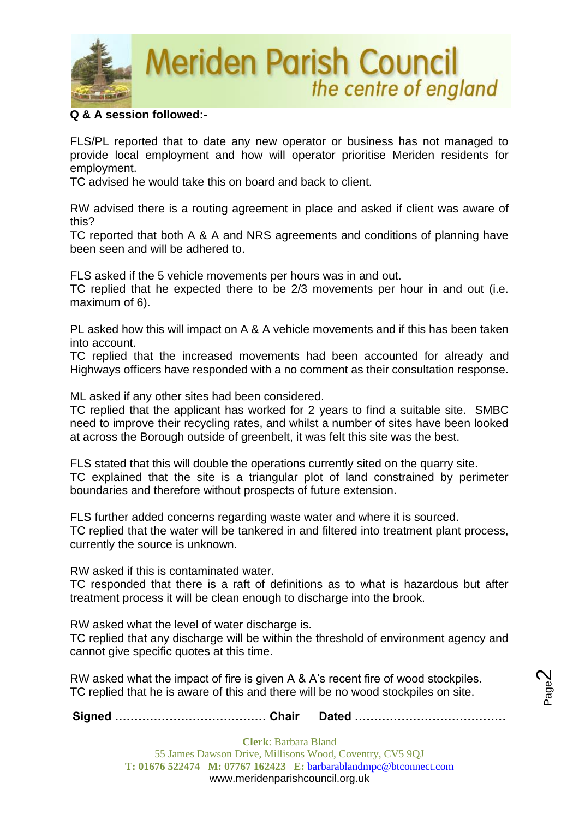

### **Q & A session followed:-**

FLS/PL reported that to date any new operator or business has not managed to provide local employment and how will operator prioritise Meriden residents for employment.

TC advised he would take this on board and back to client.

RW advised there is a routing agreement in place and asked if client was aware of this?

TC reported that both A & A and NRS agreements and conditions of planning have been seen and will be adhered to.

FLS asked if the 5 vehicle movements per hours was in and out.

TC replied that he expected there to be 2/3 movements per hour in and out (i.e. maximum of 6).

PL asked how this will impact on A & A vehicle movements and if this has been taken into account.

TC replied that the increased movements had been accounted for already and Highways officers have responded with a no comment as their consultation response.

ML asked if any other sites had been considered.

TC replied that the applicant has worked for 2 years to find a suitable site. SMBC need to improve their recycling rates, and whilst a number of sites have been looked at across the Borough outside of greenbelt, it was felt this site was the best.

FLS stated that this will double the operations currently sited on the quarry site. TC explained that the site is a triangular plot of land constrained by perimeter boundaries and therefore without prospects of future extension.

FLS further added concerns regarding waste water and where it is sourced.

TC replied that the water will be tankered in and filtered into treatment plant process, currently the source is unknown.

RW asked if this is contaminated water.

TC responded that there is a raft of definitions as to what is hazardous but after treatment process it will be clean enough to discharge into the brook.

RW asked what the level of water discharge is.

TC replied that any discharge will be within the threshold of environment agency and cannot give specific quotes at this time.

RW asked what the impact of fire is given A & A's recent fire of wood stockpiles. TC replied that he is aware of this and there will be no wood stockpiles on site.

**Signed ………………………………… Chair Dated …………………………………**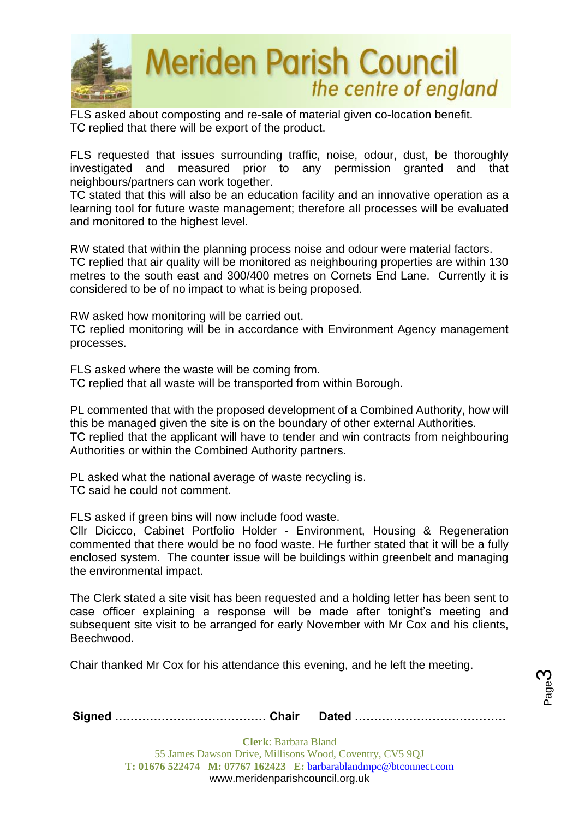

FLS asked about composting and re-sale of material given co-location benefit. TC replied that there will be export of the product.

FLS requested that issues surrounding traffic, noise, odour, dust, be thoroughly investigated and measured prior to any permission granted and that neighbours/partners can work together.

TC stated that this will also be an education facility and an innovative operation as a learning tool for future waste management; therefore all processes will be evaluated and monitored to the highest level.

RW stated that within the planning process noise and odour were material factors. TC replied that air quality will be monitored as neighbouring properties are within 130 metres to the south east and 300/400 metres on Cornets End Lane. Currently it is considered to be of no impact to what is being proposed.

RW asked how monitoring will be carried out.

TC replied monitoring will be in accordance with Environment Agency management processes.

FLS asked where the waste will be coming from. TC replied that all waste will be transported from within Borough.

PL commented that with the proposed development of a Combined Authority, how will this be managed given the site is on the boundary of other external Authorities. TC replied that the applicant will have to tender and win contracts from neighbouring Authorities or within the Combined Authority partners.

PL asked what the national average of waste recycling is. TC said he could not comment.

FLS asked if green bins will now include food waste.

Cllr Dicicco, Cabinet Portfolio Holder - Environment, Housing & Regeneration commented that there would be no food waste. He further stated that it will be a fully enclosed system. The counter issue will be buildings within greenbelt and managing the environmental impact.

The Clerk stated a site visit has been requested and a holding letter has been sent to case officer explaining a response will be made after tonight's meeting and subsequent site visit to be arranged for early November with Mr Cox and his clients, Beechwood.

Chair thanked Mr Cox for his attendance this evening, and he left the meeting.

|--|--|--|

Page ო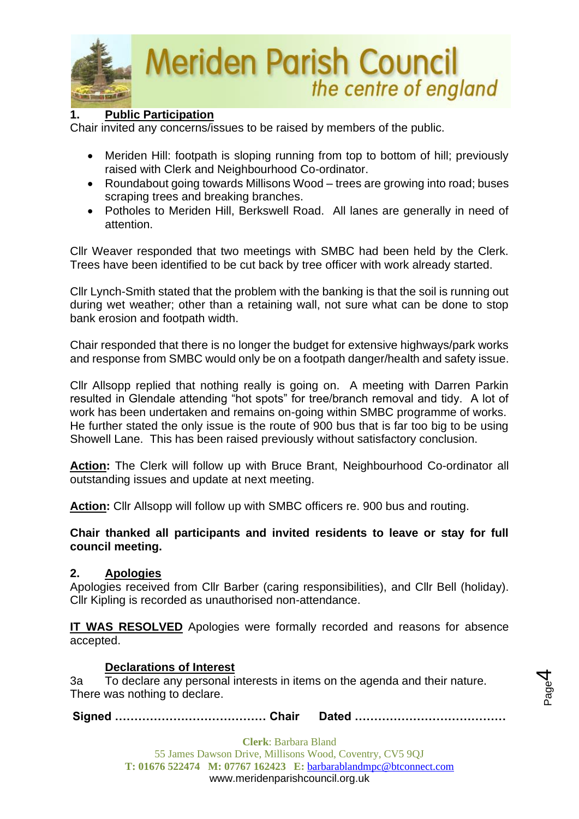

### **1. Public Participation**

Chair invited any concerns/issues to be raised by members of the public.

- Meriden Hill: footpath is sloping running from top to bottom of hill; previously raised with Clerk and Neighbourhood Co-ordinator.
- Roundabout going towards Millisons Wood trees are growing into road; buses scraping trees and breaking branches.
- Potholes to Meriden Hill, Berkswell Road. All lanes are generally in need of attention.

Cllr Weaver responded that two meetings with SMBC had been held by the Clerk. Trees have been identified to be cut back by tree officer with work already started.

Cllr Lynch-Smith stated that the problem with the banking is that the soil is running out during wet weather; other than a retaining wall, not sure what can be done to stop bank erosion and footpath width.

Chair responded that there is no longer the budget for extensive highways/park works and response from SMBC would only be on a footpath danger/health and safety issue.

Cllr Allsopp replied that nothing really is going on. A meeting with Darren Parkin resulted in Glendale attending "hot spots" for tree/branch removal and tidy. A lot of work has been undertaken and remains on-going within SMBC programme of works. He further stated the only issue is the route of 900 bus that is far too big to be using Showell Lane. This has been raised previously without satisfactory conclusion.

**Action:** The Clerk will follow up with Bruce Brant, Neighbourhood Co-ordinator all outstanding issues and update at next meeting.

**Action:** Cllr Allsopp will follow up with SMBC officers re. 900 bus and routing.

**Chair thanked all participants and invited residents to leave or stay for full council meeting.** 

#### **2. Apologies**

Apologies received from Cllr Barber (caring responsibilities), and Cllr Bell (holiday). Cllr Kipling is recorded as unauthorised non-attendance.

**IT WAS RESOLVED** Apologies were formally recorded and reasons for absence accepted.

#### **Declarations of Interest**

3a To declare any personal interests in items on the agenda and their nature. There was nothing to declare.

**Signed ………………………………… Chair Dated …………………………………**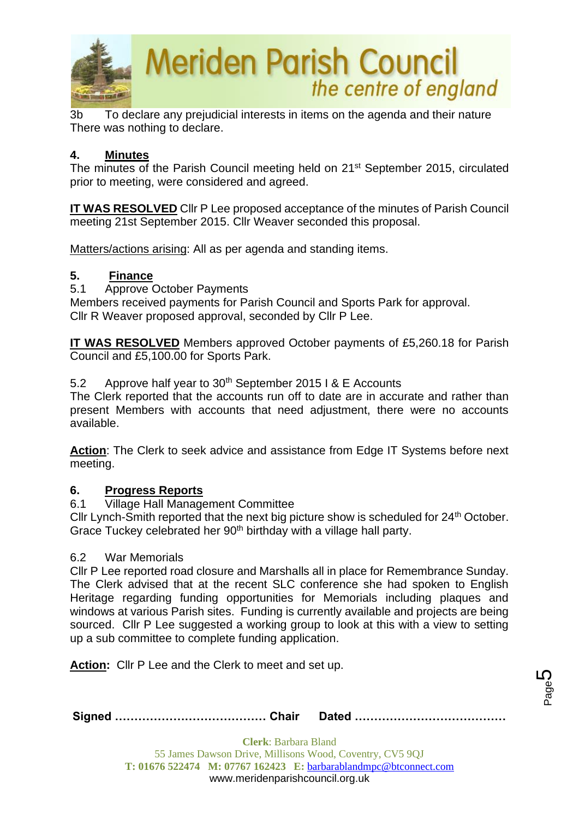

3b To declare any prejudicial interests in items on the agenda and their nature There was nothing to declare.

### **4. Minutes**

The minutes of the Parish Council meeting held on 21st September 2015, circulated prior to meeting, were considered and agreed.

**IT WAS RESOLVED** Cllr P Lee proposed acceptance of the minutes of Parish Council meeting 21st September 2015. Cllr Weaver seconded this proposal.

Matters/actions arising: All as per agenda and standing items.

### **5. Finance**

5.1 Approve October Payments

Members received payments for Parish Council and Sports Park for approval. Cllr R Weaver proposed approval, seconded by Cllr P Lee.

**IT WAS RESOLVED** Members approved October payments of £5,260.18 for Parish Council and £5,100.00 for Sports Park.

### 5.2 Approve half year to  $30<sup>th</sup>$  September 2015 I & E Accounts

The Clerk reported that the accounts run off to date are in accurate and rather than present Members with accounts that need adjustment, there were no accounts available.

**Action**: The Clerk to seek advice and assistance from Edge IT Systems before next meeting.

#### **6. Progress Reports**

#### 6.1 Village Hall Management Committee

Cllr Lynch-Smith reported that the next big picture show is scheduled for 24<sup>th</sup> October. Grace Tuckey celebrated her 90<sup>th</sup> birthday with a village hall party.

#### 6.2 War Memorials

Cllr P Lee reported road closure and Marshalls all in place for Remembrance Sunday. The Clerk advised that at the recent SLC conference she had spoken to English Heritage regarding funding opportunities for Memorials including plaques and windows at various Parish sites. Funding is currently available and projects are being sourced. Cllr P Lee suggested a working group to look at this with a view to setting up a sub committee to complete funding application.

**Action:** Cllr P Lee and the Clerk to meet and set up.

|--|--|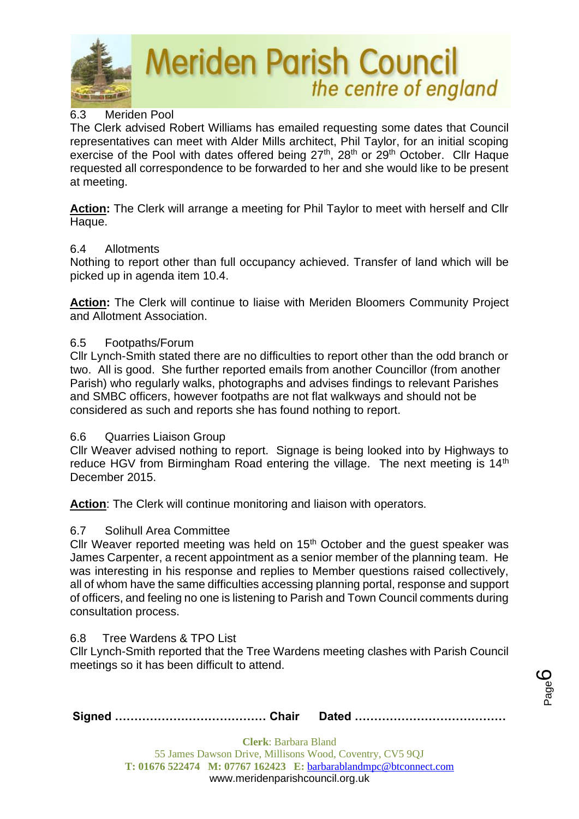

## 6.3 Meriden Pool

The Clerk advised Robert Williams has emailed requesting some dates that Council representatives can meet with Alder Mills architect, Phil Taylor, for an initial scoping exercise of the Pool with dates offered being 27<sup>th</sup>, 28<sup>th</sup> or 29<sup>th</sup> October. Cllr Haque requested all correspondence to be forwarded to her and she would like to be present at meeting.

**Action:** The Clerk will arrange a meeting for Phil Taylor to meet with herself and Cllr Haque.

#### 6.4 Allotments

Nothing to report other than full occupancy achieved. Transfer of land which will be picked up in agenda item 10.4.

**Action:** The Clerk will continue to liaise with Meriden Bloomers Community Project and Allotment Association.

### 6.5 Footpaths/Forum

Cllr Lynch-Smith stated there are no difficulties to report other than the odd branch or two. All is good. She further reported emails from another Councillor (from another Parish) who regularly walks, photographs and advises findings to relevant Parishes and SMBC officers, however footpaths are not flat walkways and should not be considered as such and reports she has found nothing to report.

#### 6.6 Quarries Liaison Group

Cllr Weaver advised nothing to report. Signage is being looked into by Highways to reduce HGV from Birmingham Road entering the village. The next meeting is 14<sup>th</sup> December 2015.

**Action:** The Clerk will continue monitoring and liaison with operators.

## 6.7 Solihull Area Committee

Cllr Weaver reported meeting was held on 15<sup>th</sup> October and the guest speaker was James Carpenter, a recent appointment as a senior member of the planning team. He was interesting in his response and replies to Member questions raised collectively, all of whom have the same difficulties accessing planning portal, response and support of officers, and feeling no one is listening to Parish and Town Council comments during consultation process.

## 6.8 Tree Wardens & TPO List

Cllr Lynch-Smith reported that the Tree Wardens meeting clashes with Parish Council meetings so it has been difficult to attend.

Page ပ

|--|--|--|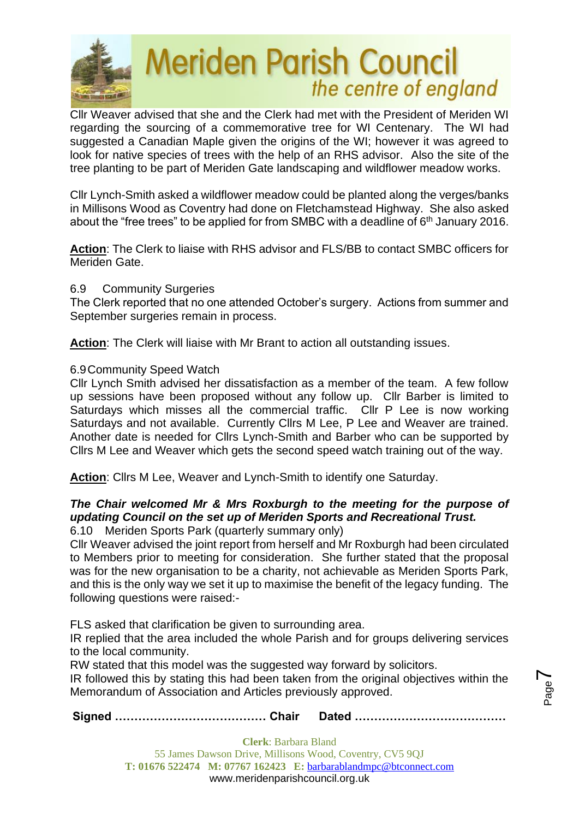

Cllr Weaver advised that she and the Clerk had met with the President of Meriden WI regarding the sourcing of a commemorative tree for WI Centenary. The WI had suggested a Canadian Maple given the origins of the WI; however it was agreed to look for native species of trees with the help of an RHS advisor. Also the site of the tree planting to be part of Meriden Gate landscaping and wildflower meadow works.

Cllr Lynch-Smith asked a wildflower meadow could be planted along the verges/banks in Millisons Wood as Coventry had done on Fletchamstead Highway. She also asked about the "free trees" to be applied for from SMBC with a deadline of  $6<sup>th</sup>$  January 2016.

**Action**: The Clerk to liaise with RHS advisor and FLS/BB to contact SMBC officers for Meriden Gate.

#### 6.9 Community Surgeries

The Clerk reported that no one attended October's surgery. Actions from summer and September surgeries remain in process.

**Action**: The Clerk will liaise with Mr Brant to action all outstanding issues.

### 6.9Community Speed Watch

Cllr Lynch Smith advised her dissatisfaction as a member of the team. A few follow up sessions have been proposed without any follow up. Cllr Barber is limited to Saturdays which misses all the commercial traffic. Cllr P Lee is now working Saturdays and not available. Currently Cllrs M Lee, P Lee and Weaver are trained. Another date is needed for Cllrs Lynch-Smith and Barber who can be supported by Cllrs M Lee and Weaver which gets the second speed watch training out of the way.

**Action**: Cllrs M Lee, Weaver and Lynch-Smith to identify one Saturday.

# *The Chair welcomed Mr & Mrs Roxburgh to the meeting for the purpose of updating Council on the set up of Meriden Sports and Recreational Trust.*

6.10 Meriden Sports Park (quarterly summary only)

Cllr Weaver advised the joint report from herself and Mr Roxburgh had been circulated to Members prior to meeting for consideration. She further stated that the proposal was for the new organisation to be a charity, not achievable as Meriden Sports Park, and this is the only way we set it up to maximise the benefit of the legacy funding. The following questions were raised:-

FLS asked that clarification be given to surrounding area.

IR replied that the area included the whole Parish and for groups delivering services to the local community.

RW stated that this model was the suggested way forward by solicitors.

IR followed this by stating this had been taken from the original objectives within the Memorandum of Association and Articles previously approved.

Page  $\blacktriangleright$ 

**Signed ………………………………… Chair Dated …………………………………**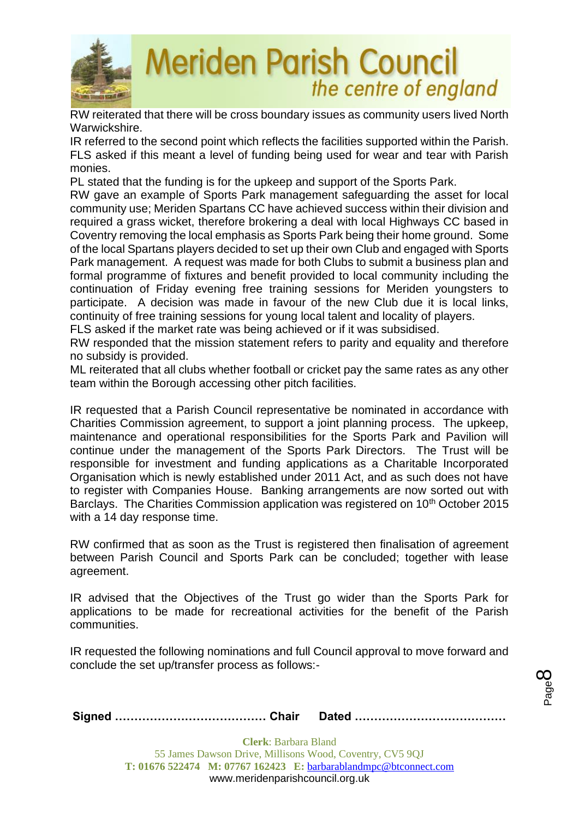

RW reiterated that there will be cross boundary issues as community users lived North Warwickshire.

IR referred to the second point which reflects the facilities supported within the Parish. FLS asked if this meant a level of funding being used for wear and tear with Parish monies.

PL stated that the funding is for the upkeep and support of the Sports Park.

RW gave an example of Sports Park management safeguarding the asset for local community use; Meriden Spartans CC have achieved success within their division and required a grass wicket, therefore brokering a deal with local Highways CC based in Coventry removing the local emphasis as Sports Park being their home ground. Some of the local Spartans players decided to set up their own Club and engaged with Sports Park management. A request was made for both Clubs to submit a business plan and formal programme of fixtures and benefit provided to local community including the continuation of Friday evening free training sessions for Meriden youngsters to participate. A decision was made in favour of the new Club due it is local links, continuity of free training sessions for young local talent and locality of players.

FLS asked if the market rate was being achieved or if it was subsidised.

RW responded that the mission statement refers to parity and equality and therefore no subsidy is provided.

ML reiterated that all clubs whether football or cricket pay the same rates as any other team within the Borough accessing other pitch facilities.

IR requested that a Parish Council representative be nominated in accordance with Charities Commission agreement, to support a joint planning process. The upkeep, maintenance and operational responsibilities for the Sports Park and Pavilion will continue under the management of the Sports Park Directors. The Trust will be responsible for investment and funding applications as a Charitable Incorporated Organisation which is newly established under 2011 Act, and as such does not have to register with Companies House. Banking arrangements are now sorted out with Barclays. The Charities Commission application was registered on 10<sup>th</sup> October 2015 with a 14 day response time.

RW confirmed that as soon as the Trust is registered then finalisation of agreement between Parish Council and Sports Park can be concluded; together with lease agreement.

IR advised that the Objectives of the Trust go wider than the Sports Park for applications to be made for recreational activities for the benefit of the Parish communities.

IR requested the following nominations and full Council approval to move forward and conclude the set up/transfer process as follows:-

**Signed ………………………………… Chair Dated …………………………………**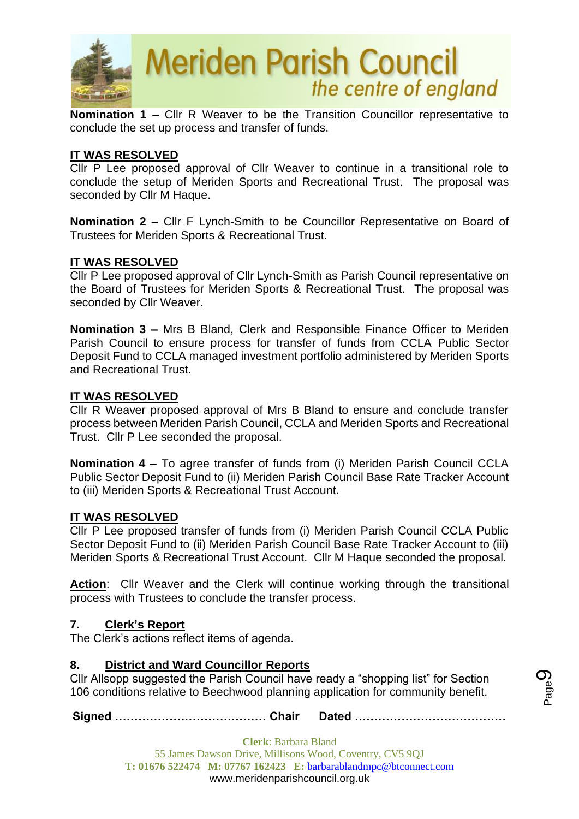

**Nomination 1 –** Cllr R Weaver to be the Transition Councillor representative to conclude the set up process and transfer of funds.

#### **IT WAS RESOLVED**

Cllr P Lee proposed approval of Cllr Weaver to continue in a transitional role to conclude the setup of Meriden Sports and Recreational Trust. The proposal was seconded by Cllr M Haque.

**Nomination 2 –** Cllr F Lynch-Smith to be Councillor Representative on Board of Trustees for Meriden Sports & Recreational Trust.

#### **IT WAS RESOLVED**

Cllr P Lee proposed approval of Cllr Lynch-Smith as Parish Council representative on the Board of Trustees for Meriden Sports & Recreational Trust. The proposal was seconded by Cllr Weaver.

**Nomination 3 –** Mrs B Bland, Clerk and Responsible Finance Officer to Meriden Parish Council to ensure process for transfer of funds from CCLA Public Sector Deposit Fund to CCLA managed investment portfolio administered by Meriden Sports and Recreational Trust.

#### **IT WAS RESOLVED**

Cllr R Weaver proposed approval of Mrs B Bland to ensure and conclude transfer process between Meriden Parish Council, CCLA and Meriden Sports and Recreational Trust. Cllr P Lee seconded the proposal.

**Nomination 4 –** To agree transfer of funds from (i) Meriden Parish Council CCLA Public Sector Deposit Fund to (ii) Meriden Parish Council Base Rate Tracker Account to (iii) Meriden Sports & Recreational Trust Account.

#### **IT WAS RESOLVED**

Cllr P Lee proposed transfer of funds from (i) Meriden Parish Council CCLA Public Sector Deposit Fund to (ii) Meriden Parish Council Base Rate Tracker Account to (iii) Meriden Sports & Recreational Trust Account. Cllr M Haque seconded the proposal.

Action: Cllr Weaver and the Clerk will continue working through the transitional process with Trustees to conclude the transfer process.

#### **7. Clerk's Report**

The Clerk's actions reflect items of agenda.

#### **8. District and Ward Councillor Reports**

Cllr Allsopp suggested the Parish Council have ready a "shopping list" for Section 106 conditions relative to Beechwood planning application for community benefit.

**Signed ………………………………… Chair Dated …………………………………**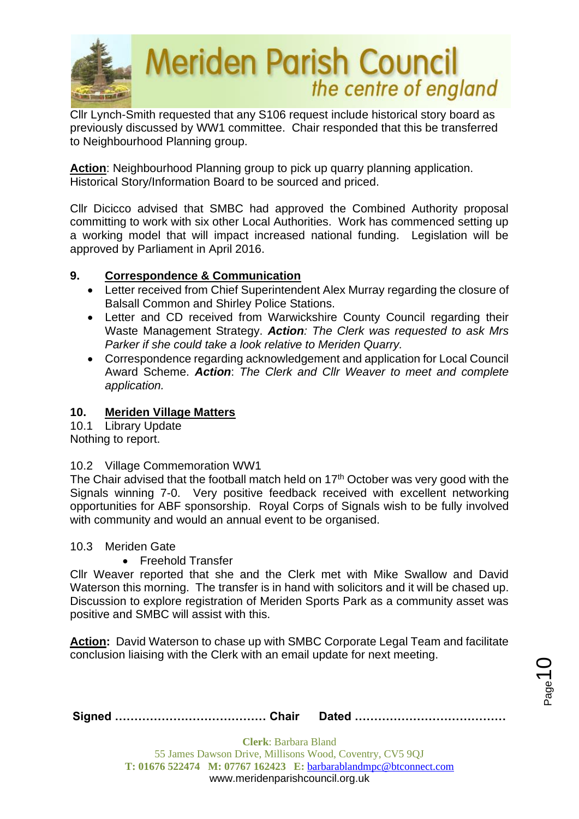

Cllr Lynch-Smith requested that any S106 request include historical story board as previously discussed by WW1 committee. Chair responded that this be transferred to Neighbourhood Planning group.

**Action**: Neighbourhood Planning group to pick up quarry planning application. Historical Story/Information Board to be sourced and priced.

Cllr Dicicco advised that SMBC had approved the Combined Authority proposal committing to work with six other Local Authorities. Work has commenced setting up a working model that will impact increased national funding. Legislation will be approved by Parliament in April 2016.

## **9. Correspondence & Communication**

- Letter received from Chief Superintendent Alex Murray regarding the closure of Balsall Common and Shirley Police Stations.
- Letter and CD received from Warwickshire County Council regarding their Waste Management Strategy. *Action: The Clerk was requested to ask Mrs Parker if she could take a look relative to Meriden Quarry.*
- Correspondence regarding acknowledgement and application for Local Council Award Scheme. *Action*: *The Clerk and Cllr Weaver to meet and complete application.*

## **10. Meriden Village Matters**

10.1 Library Update Nothing to report.

10.2 Village Commemoration WW1

The Chair advised that the football match held on  $17<sup>th</sup>$  October was very good with the Signals winning 7-0. Very positive feedback received with excellent networking opportunities for ABF sponsorship. Royal Corps of Signals wish to be fully involved with community and would an annual event to be organised.

10.3 Meriden Gate

• Freehold Transfer

Cllr Weaver reported that she and the Clerk met with Mike Swallow and David Waterson this morning. The transfer is in hand with solicitors and it will be chased up. Discussion to explore registration of Meriden Sports Park as a community asset was positive and SMBC will assist with this.

**Action:** David Waterson to chase up with SMBC Corporate Legal Team and facilitate conclusion liaising with the Clerk with an email update for next meeting.

 $_{\mathrm{Page}}$ 10

|--|--|--|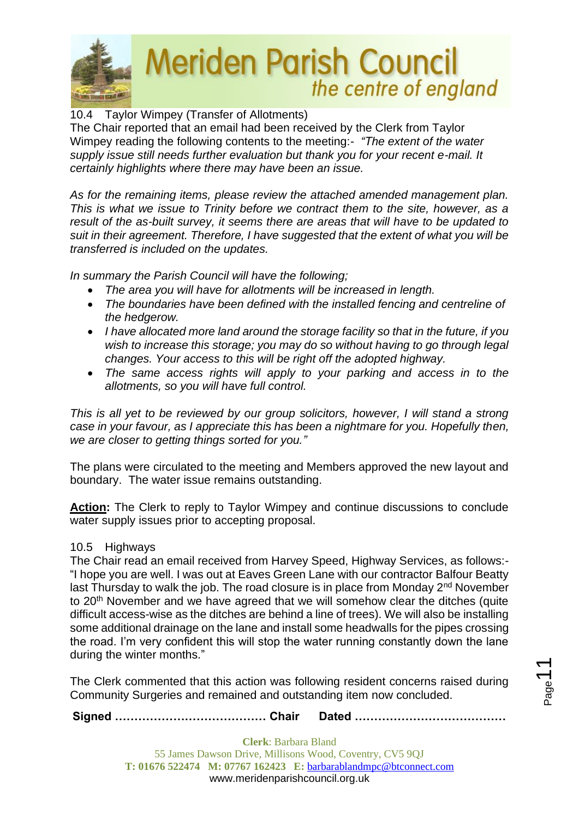

# 10.4 Taylor Wimpey (Transfer of Allotments)

The Chair reported that an email had been received by the Clerk from Taylor Wimpey reading the following contents to the meeting:- *"The extent of the water supply issue still needs further evaluation but thank you for your recent e-mail. It certainly highlights where there may have been an issue.*

*As for the remaining items, please review the attached amended management plan. This is what we issue to Trinity before we contract them to the site, however, as a result of the as-built survey, it seems there are areas that will have to be updated to suit in their agreement. Therefore, I have suggested that the extent of what you will be transferred is included on the updates.*

*In summary the Parish Council will have the following;*

- *The area you will have for allotments will be increased in length.*
- *The boundaries have been defined with the installed fencing and centreline of the hedgerow.*
- *I have allocated more land around the storage facility so that in the future, if you wish to increase this storage; you may do so without having to go through legal changes. Your access to this will be right off the adopted highway.*
- *The same access rights will apply to your parking and access in to the allotments, so you will have full control.*

*This is all yet to be reviewed by our group solicitors, however, I will stand a strong case in your favour, as I appreciate this has been a nightmare for you. Hopefully then, we are closer to getting things sorted for you."*

The plans were circulated to the meeting and Members approved the new layout and boundary. The water issue remains outstanding.

**Action:** The Clerk to reply to Taylor Wimpey and continue discussions to conclude water supply issues prior to accepting proposal.

#### 10.5 Highways

The Chair read an email received from Harvey Speed, Highway Services, as follows:- "I hope you are well. I was out at Eaves Green Lane with our contractor Balfour Beatty last Thursday to walk the job. The road closure is in place from Monday 2<sup>nd</sup> November to 20<sup>th</sup> November and we have agreed that we will somehow clear the ditches (quite difficult access-wise as the ditches are behind a line of trees). We will also be installing some additional drainage on the lane and install some headwalls for the pipes crossing the road. I'm very confident this will stop the water running constantly down the lane during the winter months."

The Clerk commented that this action was following resident concerns raised during Community Surgeries and remained and outstanding item now concluded.

**Signed ………………………………… Chair Dated …………………………………**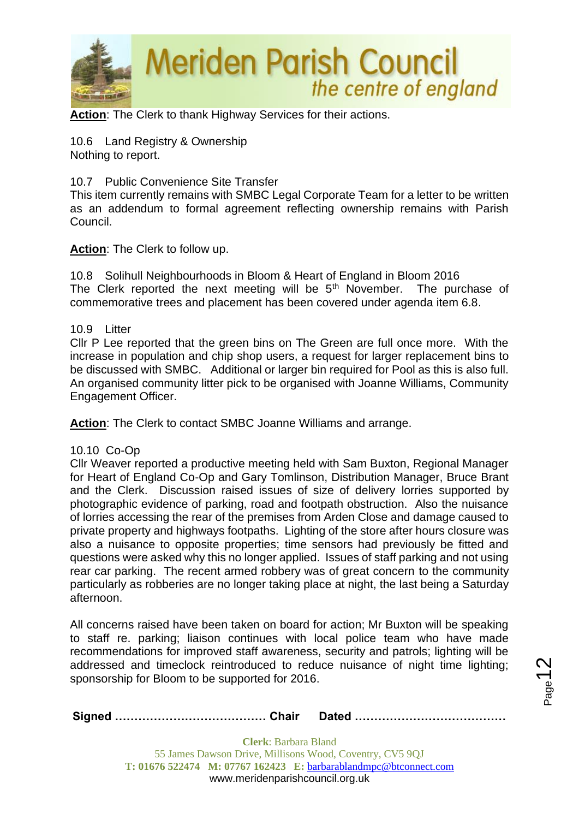

**Action**: The Clerk to thank Highway Services for their actions.

10.6 Land Registry & Ownership Nothing to report.

#### 10.7 Public Convenience Site Transfer

This item currently remains with SMBC Legal Corporate Team for a letter to be written as an addendum to formal agreement reflecting ownership remains with Parish Council.

#### **Action**: The Clerk to follow up.

10.8 Solihull Neighbourhoods in Bloom & Heart of England in Bloom 2016 The Clerk reported the next meeting will be  $5<sup>th</sup>$  November. The purchase of commemorative trees and placement has been covered under agenda item 6.8.

#### 10.9 Litter

Cllr P Lee reported that the green bins on The Green are full once more. With the increase in population and chip shop users, a request for larger replacement bins to be discussed with SMBC. Additional or larger bin required for Pool as this is also full. An organised community litter pick to be organised with Joanne Williams, Community Engagement Officer.

**Action**: The Clerk to contact SMBC Joanne Williams and arrange.

#### 10.10 Co-Op

Cllr Weaver reported a productive meeting held with Sam Buxton, Regional Manager for Heart of England Co-Op and Gary Tomlinson, Distribution Manager, Bruce Brant and the Clerk. Discussion raised issues of size of delivery lorries supported by photographic evidence of parking, road and footpath obstruction. Also the nuisance of lorries accessing the rear of the premises from Arden Close and damage caused to private property and highways footpaths. Lighting of the store after hours closure was also a nuisance to opposite properties; time sensors had previously be fitted and questions were asked why this no longer applied. Issues of staff parking and not using rear car parking. The recent armed robbery was of great concern to the community particularly as robberies are no longer taking place at night, the last being a Saturday afternoon.

All concerns raised have been taken on board for action; Mr Buxton will be speaking to staff re. parking; liaison continues with local police team who have made recommendations for improved staff awareness, security and patrols; lighting will be addressed and timeclock reintroduced to reduce nuisance of night time lighting: sponsorship for Bloom to be supported for 2016.

 $_{\rm Page}$ 12

**Signed ………………………………… Chair Dated …………………………………**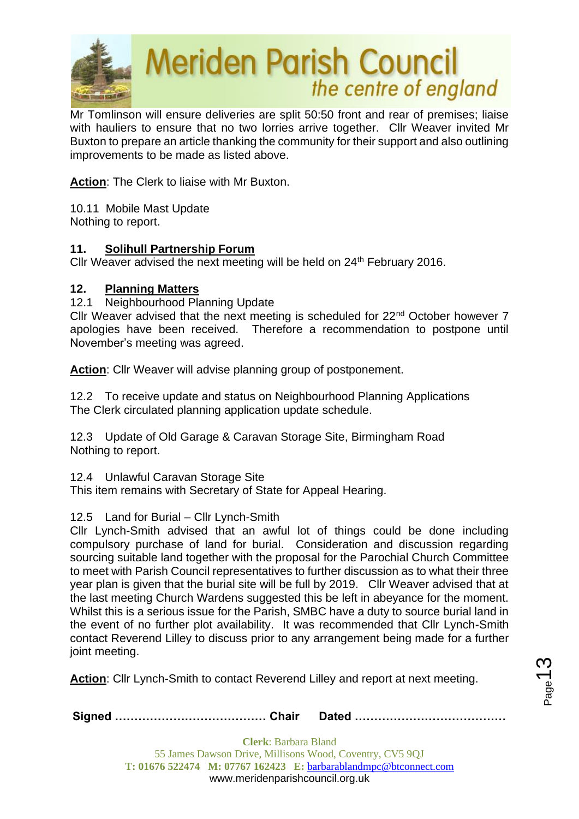

Mr Tomlinson will ensure deliveries are split 50:50 front and rear of premises; liaise with hauliers to ensure that no two lorries arrive together. Cllr Weaver invited Mr Buxton to prepare an article thanking the community for their support and also outlining improvements to be made as listed above.

**Action**: The Clerk to liaise with Mr Buxton.

10.11 Mobile Mast Update Nothing to report.

#### **11. Solihull Partnership Forum**

Cllr Weaver advised the next meeting will be held on 24<sup>th</sup> February 2016.

#### **12. Planning Matters**

12.1 Neighbourhood Planning Update

Cllr Weaver advised that the next meeting is scheduled for 22<sup>nd</sup> October however 7 apologies have been received. Therefore a recommendation to postpone until November's meeting was agreed.

**Action**: Cllr Weaver will advise planning group of postponement.

12.2 To receive update and status on Neighbourhood Planning Applications The Clerk circulated planning application update schedule.

12.3 Update of Old Garage & Caravan Storage Site, Birmingham Road Nothing to report.

12.4 Unlawful Caravan Storage Site

This item remains with Secretary of State for Appeal Hearing.

#### 12.5 Land for Burial – Cllr Lynch-Smith

Cllr Lynch-Smith advised that an awful lot of things could be done including compulsory purchase of land for burial. Consideration and discussion regarding sourcing suitable land together with the proposal for the Parochial Church Committee to meet with Parish Council representatives to further discussion as to what their three year plan is given that the burial site will be full by 2019. Cllr Weaver advised that at the last meeting Church Wardens suggested this be left in abeyance for the moment. Whilst this is a serious issue for the Parish, SMBC have a duty to source burial land in the event of no further plot availability. It was recommended that Cllr Lynch-Smith contact Reverend Lilley to discuss prior to any arrangement being made for a further joint meeting.

**Action**: Cllr Lynch-Smith to contact Reverend Lilley and report at next meeting.

**Signed ………………………………… Chair Dated …………………………………**